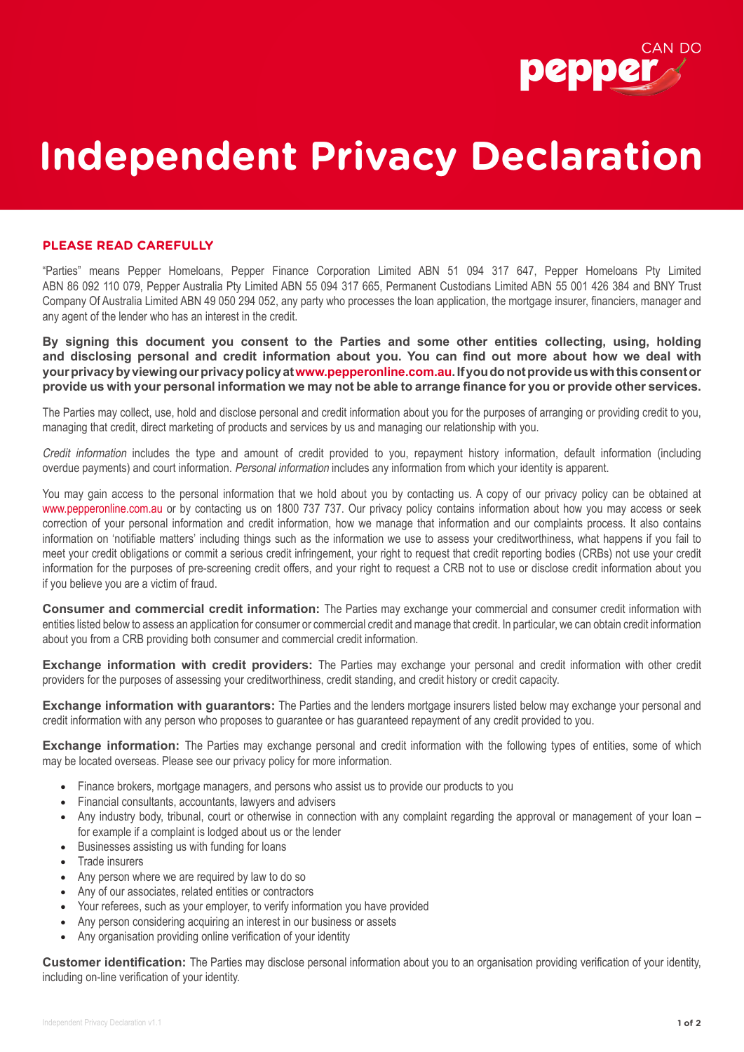

## **Independent Privacy Declaration**

## **PLEASE READ CAREFULLY**

"Parties" means Pepper Homeloans, Pepper Finance Corporation Limited ABN 51 094 317 647, Pepper Homeloans Pty Limited ABN 86 092 110 079, Pepper Australia Pty Limited ABN 55 094 317 665, Permanent Custodians Limited ABN 55 001 426 384 and BNY Trust Company Of Australia Limited ABN 49 050 294 052, any party who processes the loan application, the mortgage insurer, financiers, manager and any agent of the lender who has an interest in the credit.

**By signing this document you consent to the Parties and some other entities collecting, using, holding and disclosing personal and credit information about you. You can find out more about how we deal with your privacy by viewing our privacy policy at www.pepperonline.com.au. If you do not provide us with this consent or provide us with your personal information we may not be able to arrange finance for you or provide other services.** 

The Parties may collect, use, hold and disclose personal and credit information about you for the purposes of arranging or providing credit to you, managing that credit, direct marketing of products and services by us and managing our relationship with you.

Credit information includes the type and amount of credit provided to you, repayment history information, default information (including overdue payments) and court information. Personal information includes any information from which your identity is apparent.

You may gain access to the personal information that we hold about you by contacting us. A copy of our privacy policy can be obtained at www.pepperonline.com.au or by contacting us on 1800 737 737. Our privacy policy contains information about how you may access or seek correction of your personal information and credit information, how we manage that information and our complaints process. It also contains information on 'notifiable matters' including things such as the information we use to assess your creditworthiness, what happens if you fail to meet your credit obligations or commit a serious credit infringement, your right to request that credit reporting bodies (CRBs) not use your credit information for the purposes of pre-screening credit offers, and your right to request a CRB not to use or disclose credit information about you if you believe you are a victim of fraud.

**Consumer and commercial credit information:** The Parties may exchange your commercial and consumer credit information with entities listed below to assess an application for consumer or commercial credit and manage that credit. In particular, we can obtain credit information about you from a CRB providing both consumer and commercial credit information.

**Exchange information with credit providers:** The Parties may exchange your personal and credit information with other credit providers for the purposes of assessing your creditworthiness, credit standing, and credit history or credit capacity.

**Exchange information with guarantors:** The Parties and the lenders mortgage insurers listed below may exchange your personal and credit information with any person who proposes to guarantee or has guaranteed repayment of any credit provided to you.

**Exchange information:** The Parties may exchange personal and credit information with the following types of entities, some of which may be located overseas. Please see our privacy policy for more information.

- Finance brokers, mortgage managers, and persons who assist us to provide our products to you
- Financial consultants, accountants, lawyers and advisers
- Any industry body, tribunal, court or otherwise in connection with any complaint regarding the approval or management of your loan for example if a complaint is lodged about us or the lender
- Businesses assisting us with funding for loans
- Trade insurers
- Any person where we are required by law to do so
- Any of our associates, related entities or contractors
- Your referees, such as your employer, to verify information you have provided
- Any person considering acquiring an interest in our business or assets
- Any organisation providing online verification of your identity

**Customer identification:** The Parties may disclose personal information about you to an organisation providing verification of your identity, including on-line verification of your identity.